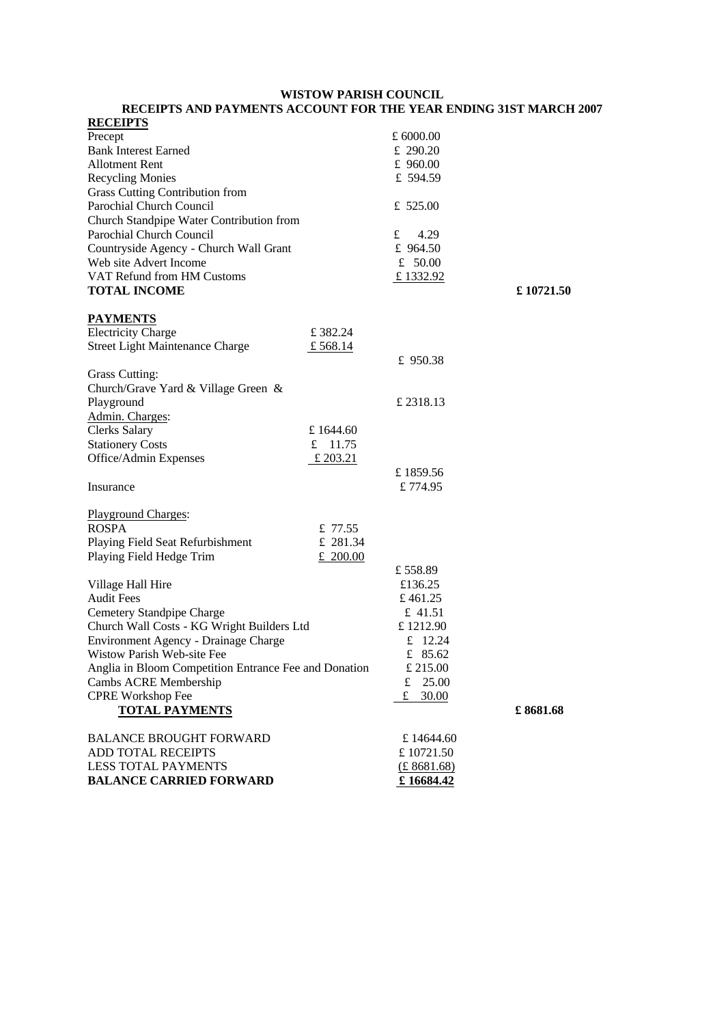## **WISTOW PARISH COUNCIL RECEIPTS AND PAYMENTS ACCOUNT FOR THE YEAR ENDING 31ST MARCH 2007**

| <b>RECEIPTS</b>                                       |           |            |           |
|-------------------------------------------------------|-----------|------------|-----------|
| Precept                                               |           | £ 6000.00  |           |
| <b>Bank Interest Earned</b>                           |           | £ 290.20   |           |
| <b>Allotment Rent</b>                                 |           | £ 960.00   |           |
| <b>Recycling Monies</b>                               |           | £ 594.59   |           |
| Grass Cutting Contribution from                       |           |            |           |
| Parochial Church Council                              |           | £ $525.00$ |           |
| Church Standpipe Water Contribution from              |           |            |           |
| Parochial Church Council                              |           | £<br>4.29  |           |
| Countryside Agency - Church Wall Grant                |           | £ 964.50   |           |
| Web site Advert Income                                |           | £ $50.00$  |           |
| VAT Refund from HM Customs                            |           | £1332.92   |           |
| <b>TOTAL INCOME</b>                                   |           |            | £10721.50 |
| <b>PAYMENTS</b>                                       |           |            |           |
| <b>Electricity Charge</b>                             | £382.24   |            |           |
| <b>Street Light Maintenance Charge</b>                | £ 568.14  |            |           |
|                                                       |           | £ 950.38   |           |
| Grass Cutting:                                        |           |            |           |
| Church/Grave Yard & Village Green &                   |           |            |           |
| Playground                                            |           | £ 2318.13  |           |
| Admin. Charges:                                       |           |            |           |
| <b>Clerks Salary</b>                                  | £1644.60  |            |           |
| <b>Stationery Costs</b>                               | £ $11.75$ |            |           |
| Office/Admin Expenses                                 | £ 203.21  |            |           |
|                                                       |           | £1859.56   |           |
| Insurance                                             |           | £774.95    |           |
| <b>Playground Charges:</b>                            |           |            |           |
| <b>ROSPA</b>                                          | £ 77.55   |            |           |
| Playing Field Seat Refurbishment                      | £ 281.34  |            |           |
| Playing Field Hedge Trim                              | £ 200.00  |            |           |
|                                                       |           | £558.89    |           |
| Village Hall Hire                                     |           | £136.25    |           |
| <b>Audit Fees</b>                                     |           | £461.25    |           |
| Cemetery Standpipe Charge                             |           | £ 41.51    |           |
| Church Wall Costs - KG Wright Builders Ltd            |           | £1212.90   |           |
| Environment Agency - Drainage Charge                  |           | £ $12.24$  |           |
| Wistow Parish Web-site Fee                            |           | £ $85.62$  |           |
| Anglia in Bloom Competition Entrance Fee and Donation |           | £ 215.00   |           |
| Cambs ACRE Membership                                 |           | 25.00<br>£ |           |
| <b>CPRE Workshop Fee</b>                              |           | £ 30.00    |           |
| <b>TOTAL PAYMENTS</b>                                 |           |            | £8681.68  |
| <b>BALANCE BROUGHT FORWARD</b>                        |           | £14644.60  |           |
| <b>ADD TOTAL RECEIPTS</b>                             |           | £10721.50  |           |
| <b>LESS TOTAL PAYMENTS</b>                            |           | (E8681.68) |           |
| <b>BALANCE CARRIED FORWARD</b>                        |           | £16684.42  |           |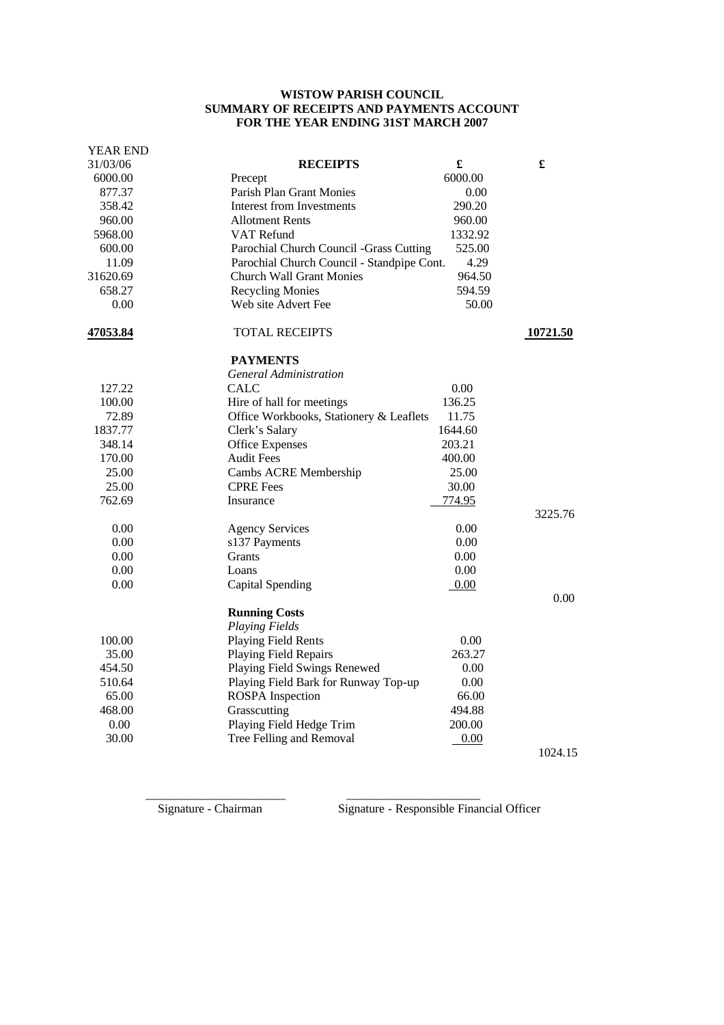## **WISTOW PARISH COUNCIL SUMMARY OF RECEIPTS AND PAYMENTS ACCOUNT FOR THE YEAR ENDING 31ST MARCH 2007**

| <b>YEAR END</b> |                                            |         |          |
|-----------------|--------------------------------------------|---------|----------|
| 31/03/06        | <b>RECEIPTS</b>                            | £       | £        |
| 6000.00         | Precept                                    | 6000.00 |          |
| 877.37          | <b>Parish Plan Grant Monies</b>            | 0.00    |          |
| 358.42          | Interest from Investments<br>290.20        |         |          |
| 960.00          | Allotment Rents                            | 960.00  |          |
| 5968.00         | VAT Refund                                 | 1332.92 |          |
| 600.00          | Parochial Church Council -Grass Cutting    | 525.00  |          |
| 11.09           | Parochial Church Council - Standpipe Cont. | 4.29    |          |
| 31620.69        | <b>Church Wall Grant Monies</b>            | 964.50  |          |
| 658.27          | <b>Recycling Monies</b>                    | 594.59  |          |
| 0.00            | Web site Advert Fee                        | 50.00   |          |
| 47053.84        | <b>TOTAL RECEIPTS</b>                      |         | 10721.50 |
|                 | <b>PAYMENTS</b>                            |         |          |
|                 | <b>General Administration</b>              |         |          |
| 127.22          | <b>CALC</b>                                | 0.00    |          |
| 100.00          | Hire of hall for meetings                  | 136.25  |          |
| 72.89           | Office Workbooks, Stationery & Leaflets    | 11.75   |          |
| 1837.77         | Clerk's Salary                             | 1644.60 |          |
| 348.14          | <b>Office Expenses</b>                     | 203.21  |          |
| 170.00          | <b>Audit Fees</b>                          | 400.00  |          |
| 25.00           | Cambs ACRE Membership                      | 25.00   |          |
| 25.00           | <b>CPRE</b> Fees                           | 30.00   |          |
| 762.69          | Insurance                                  | 774.95  |          |
|                 |                                            |         | 3225.76  |
| 0.00            | <b>Agency Services</b>                     | 0.00    |          |
| 0.00            | s137 Payments                              | 0.00    |          |
| 0.00            | Grants                                     | 0.00    |          |
| 0.00            | Loans                                      | 0.00    |          |
| 0.00            | Capital Spending                           | 0.00    |          |
|                 |                                            |         | 0.00     |
|                 | <b>Running Costs</b>                       |         |          |
|                 | <b>Playing Fields</b>                      |         |          |
| 100.00          | Playing Field Rents                        | 0.00    |          |
| 35.00           | <b>Playing Field Repairs</b>               | 263.27  |          |
| 454.50          | Playing Field Swings Renewed               | 0.00    |          |
| 510.64          | Playing Field Bark for Runway Top-up       | 0.00    |          |
| 65.00           | <b>ROSPA</b> Inspection                    | 66.00   |          |
| 468.00          | Grasscutting                               | 494.88  |          |
| 0.00            | Playing Field Hedge Trim                   | 200.00  |          |
| 30.00           | Tree Felling and Removal                   | 0.00    |          |
|                 |                                            |         | 1024.15  |

 $\frac{1}{2}$  ,  $\frac{1}{2}$  ,  $\frac{1}{2}$  ,  $\frac{1}{2}$  ,  $\frac{1}{2}$  ,  $\frac{1}{2}$  ,  $\frac{1}{2}$  ,  $\frac{1}{2}$  ,  $\frac{1}{2}$  ,  $\frac{1}{2}$  ,  $\frac{1}{2}$  ,  $\frac{1}{2}$  ,  $\frac{1}{2}$  ,  $\frac{1}{2}$  ,  $\frac{1}{2}$  ,  $\frac{1}{2}$  ,  $\frac{1}{2}$  ,  $\frac{1}{2}$  ,  $\frac{1$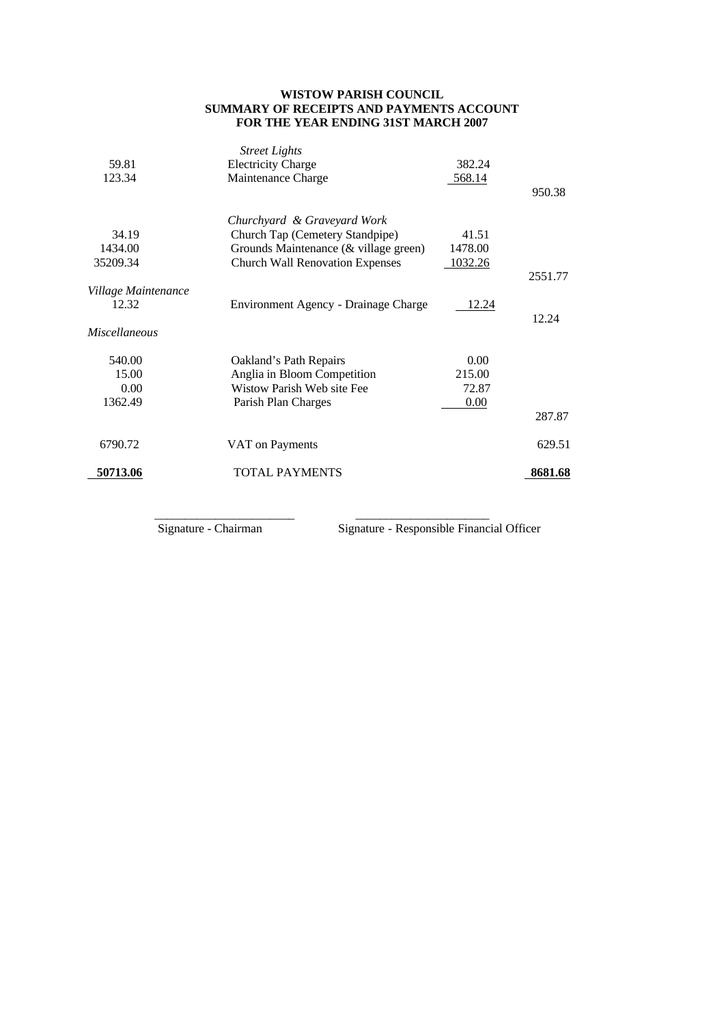## **WISTOW PARISH COUNCIL SUMMARY OF RECEIPTS AND PAYMENTS ACCOUNT FOR THE YEAR ENDING 31ST MARCH 2007**

|                     | <b>Street Lights</b>                   |         |         |
|---------------------|----------------------------------------|---------|---------|
| 59.81               | <b>Electricity Charge</b>              | 382.24  |         |
| 123.34              | Maintenance Charge                     | 568.14  |         |
|                     |                                        |         | 950.38  |
|                     |                                        |         |         |
|                     | Churchyard & Graveyard Work            |         |         |
| 34.19               | Church Tap (Cemetery Standpipe)        | 41.51   |         |
| 1434.00             | Grounds Maintenance (& village green)  | 1478.00 |         |
| 35209.34            | <b>Church Wall Renovation Expenses</b> | 1032.26 |         |
|                     |                                        |         | 2551.77 |
| Village Maintenance |                                        |         |         |
| 12.32               | Environment Agency - Drainage Charge   | 12.24   |         |
|                     |                                        |         | 12.24   |
| Miscellaneous       |                                        |         |         |
|                     |                                        |         |         |
| 540.00              | Oakland's Path Repairs                 | 0.00    |         |
| 15.00               | Anglia in Bloom Competition            | 215.00  |         |
| 0.00                | Wistow Parish Web site Fee             | 72.87   |         |
|                     |                                        |         |         |
| 1362.49             | Parish Plan Charges                    | 0.00    |         |
|                     |                                        |         | 287.87  |
|                     |                                        |         |         |
| 6790.72             | VAT on Payments                        |         | 629.51  |
|                     |                                        |         |         |
| 50713.06            | <b>TOTAL PAYMENTS</b>                  |         | 8681.68 |
|                     |                                        |         |         |

 $\frac{1}{2}$  ,  $\frac{1}{2}$  ,  $\frac{1}{2}$  ,  $\frac{1}{2}$  ,  $\frac{1}{2}$  ,  $\frac{1}{2}$  ,  $\frac{1}{2}$  ,  $\frac{1}{2}$  ,  $\frac{1}{2}$  ,  $\frac{1}{2}$  ,  $\frac{1}{2}$  ,  $\frac{1}{2}$  ,  $\frac{1}{2}$  ,  $\frac{1}{2}$  ,  $\frac{1}{2}$  ,  $\frac{1}{2}$  ,  $\frac{1}{2}$  ,  $\frac{1}{2}$  ,  $\frac{1$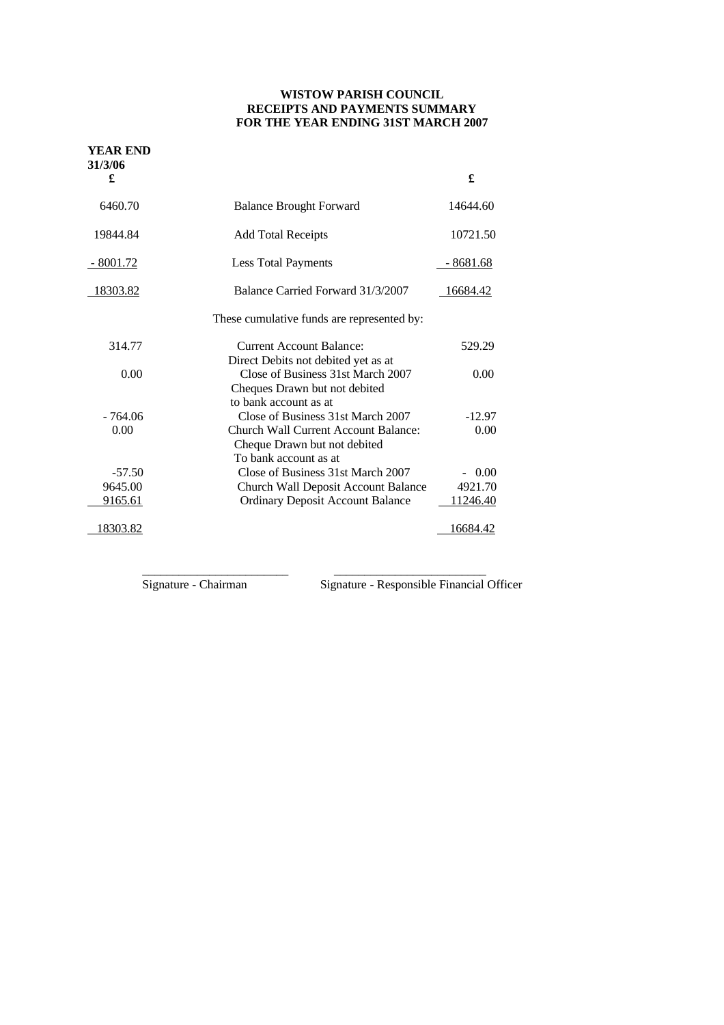## **WISTOW PARISH COUNCIL RECEIPTS AND PAYMENTS SUMMARY FOR THE YEAR ENDING 31ST MARCH 2007**

| <b>YEAR END</b><br>31/3/06 |                                            |            |
|----------------------------|--------------------------------------------|------------|
| £                          |                                            | £          |
| 6460.70                    | <b>Balance Brought Forward</b>             | 14644.60   |
| 19844.84                   | <b>Add Total Receipts</b>                  | 10721.50   |
| $-8001.72$                 | <b>Less Total Payments</b>                 | $-8681.68$ |
| 18303.82                   | Balance Carried Forward 31/3/2007          | 16684.42   |
|                            | These cumulative funds are represented by: |            |
| 314.77                     | <b>Current Account Balance:</b>            | 529.29     |
|                            | Direct Debits not debited yet as at        |            |
| 0.00                       | Close of Business 31st March 2007          | 0.00       |
|                            | Cheques Drawn but not debited              |            |
|                            | to bank account as at                      |            |
| $-764.06$                  | Close of Business 31st March 2007          | $-12.97$   |
| 0.00                       | Church Wall Current Account Balance:       | 0.00       |
|                            | Cheque Drawn but not debited               |            |
|                            | To bank account as at                      |            |
| $-57.50$                   | Close of Business 31st March 2007          | $-0.00$    |
| 9645.00                    | Church Wall Deposit Account Balance        | 4921.70    |
| 9165.61                    | <b>Ordinary Deposit Account Balance</b>    | 11246.40   |
| 18303.82                   |                                            | 16684.42   |

 $\frac{1}{2}$  ,  $\frac{1}{2}$  ,  $\frac{1}{2}$  ,  $\frac{1}{2}$  ,  $\frac{1}{2}$  ,  $\frac{1}{2}$  ,  $\frac{1}{2}$  ,  $\frac{1}{2}$  ,  $\frac{1}{2}$  ,  $\frac{1}{2}$  ,  $\frac{1}{2}$  ,  $\frac{1}{2}$  ,  $\frac{1}{2}$  ,  $\frac{1}{2}$  ,  $\frac{1}{2}$  ,  $\frac{1}{2}$  ,  $\frac{1}{2}$  ,  $\frac{1}{2}$  ,  $\frac{1$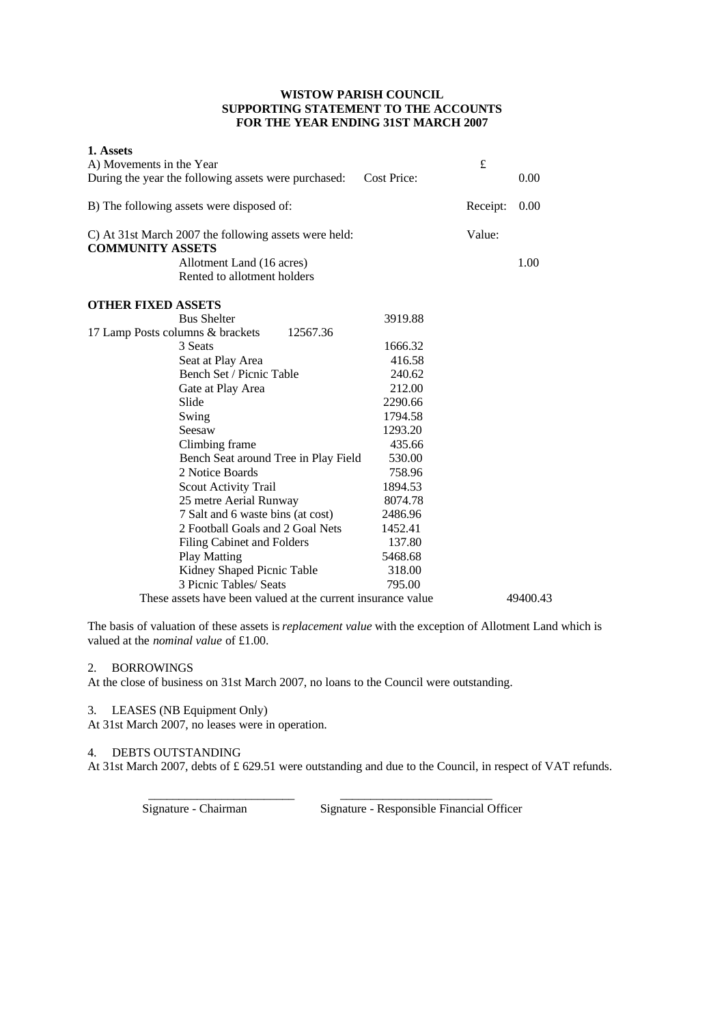### **WISTOW PARISH COUNCIL SUPPORTING STATEMENT TO THE ACCOUNTS FOR THE YEAR ENDING 31ST MARCH 2007**

| 1. Assets                                                                        |             |          |          |
|----------------------------------------------------------------------------------|-------------|----------|----------|
| A) Movements in the Year                                                         |             | £        |          |
| During the year the following assets were purchased:                             | Cost Price: |          | 0.00     |
| B) The following assets were disposed of:                                        |             | Receipt: | 0.00     |
| C) At 31st March 2007 the following assets were held:<br><b>COMMUNITY ASSETS</b> |             | Value:   |          |
| Allotment Land (16 acres)                                                        |             |          | 1.00     |
| Rented to allotment holders                                                      |             |          |          |
| <b>OTHER FIXED ASSETS</b>                                                        |             |          |          |
| <b>Bus Shelter</b>                                                               | 3919.88     |          |          |
| 12567.36<br>17 Lamp Posts columns & brackets                                     |             |          |          |
| 3 Seats                                                                          | 1666.32     |          |          |
| Seat at Play Area                                                                | 416.58      |          |          |
| Bench Set / Picnic Table                                                         | 240.62      |          |          |
| Gate at Play Area                                                                | 212.00      |          |          |
| Slide                                                                            | 2290.66     |          |          |
| Swing                                                                            | 1794.58     |          |          |
| Seesaw                                                                           | 1293.20     |          |          |
| Climbing frame                                                                   | 435.66      |          |          |
| Bench Seat around Tree in Play Field                                             | 530.00      |          |          |
| 2 Notice Boards                                                                  | 758.96      |          |          |
| Scout Activity Trail                                                             | 1894.53     |          |          |
| 25 metre Aerial Runway                                                           | 8074.78     |          |          |
| 7 Salt and 6 waste bins (at cost)                                                | 2486.96     |          |          |
| 2 Football Goals and 2 Goal Nets                                                 | 1452.41     |          |          |
| <b>Filing Cabinet and Folders</b>                                                | 137.80      |          |          |
| <b>Play Matting</b>                                                              | 5468.68     |          |          |
| Kidney Shaped Picnic Table                                                       | 318.00      |          |          |
| 3 Picnic Tables/ Seats                                                           | 795.00      |          |          |
| These assets have been valued at the current insurance value                     |             |          | 49400.43 |

The basis of valuation of these assets is *replacement value* with the exception of Allotment Land which is valued at the *nominal value* of £1.00.

### 2. BORROWINGS

At the close of business on 31st March 2007, no loans to the Council were outstanding.

 $\frac{1}{2}$  ,  $\frac{1}{2}$  ,  $\frac{1}{2}$  ,  $\frac{1}{2}$  ,  $\frac{1}{2}$  ,  $\frac{1}{2}$  ,  $\frac{1}{2}$  ,  $\frac{1}{2}$  ,  $\frac{1}{2}$  ,  $\frac{1}{2}$  ,  $\frac{1}{2}$  ,  $\frac{1}{2}$  ,  $\frac{1}{2}$  ,  $\frac{1}{2}$  ,  $\frac{1}{2}$  ,  $\frac{1}{2}$  ,  $\frac{1}{2}$  ,  $\frac{1}{2}$  ,  $\frac{1$ 

## 3. LEASES (NB Equipment Only)

At 31st March 2007, no leases were in operation.

## 4. DEBTS OUTSTANDING

At 31st March 2007, debts of £ 629.51 were outstanding and due to the Council, in respect of VAT refunds.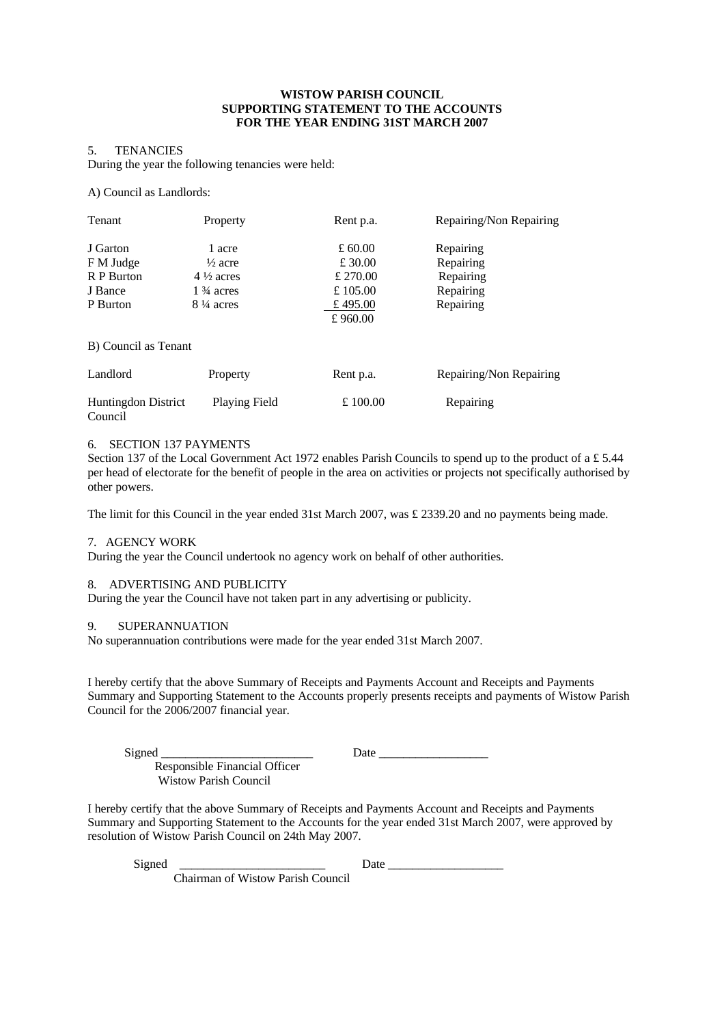#### **WISTOW PARISH COUNCIL SUPPORTING STATEMENT TO THE ACCOUNTS FOR THE YEAR ENDING 31ST MARCH 2007**

### 5. TENANCIES

During the year the following tenancies were held:

A) Council as Landlords:

| <b>Tenant</b>                                              | Property                                                                                             | Rent p.a.                                                           | Repairing/Non Repairing                                       |
|------------------------------------------------------------|------------------------------------------------------------------------------------------------------|---------------------------------------------------------------------|---------------------------------------------------------------|
| J Garton<br>F M Judge<br>R P Burton<br>J Bance<br>P Burton | 1 acre<br>$\frac{1}{2}$ acre<br>$4\frac{1}{2}$ acres<br>$1\frac{3}{4}$ acres<br>$8\frac{1}{4}$ acres | £ 60.00<br>£ 30.00<br>£ 270.00<br>£ $105.00$<br>£ 495.00<br>£960.00 | Repairing<br>Repairing<br>Repairing<br>Repairing<br>Repairing |
| B) Council as Tenant                                       |                                                                                                      |                                                                     |                                                               |
| Landlord                                                   | Property                                                                                             | Rent p.a.                                                           | Repairing/Non Repairing                                       |
| <b>Huntingdon District</b><br>Council                      | Playing Field                                                                                        | £ 100.00                                                            | Repairing                                                     |

#### 6. SECTION 137 PAYMENTS

Section 137 of the Local Government Act 1972 enables Parish Councils to spend up to the product of a £ 5.44 per head of electorate for the benefit of people in the area on activities or projects not specifically authorised by other powers.

The limit for this Council in the year ended 31st March 2007, was £ 2339.20 and no payments being made.

#### 7. AGENCY WORK

During the year the Council undertook no agency work on behalf of other authorities.

#### 8. ADVERTISING AND PUBLICITY

During the year the Council have not taken part in any advertising or publicity.

#### 9. SUPERANNUATION

No superannuation contributions were made for the year ended 31st March 2007.

I hereby certify that the above Summary of Receipts and Payments Account and Receipts and Payments Summary and Supporting Statement to the Accounts properly presents receipts and payments of Wistow Parish Council for the 2006/2007 financial year.

Signed \_\_\_\_\_\_\_\_\_\_\_\_\_\_\_\_\_\_\_\_\_\_\_\_\_ Date \_\_\_\_\_\_\_\_\_\_\_\_\_\_\_\_\_\_

 Responsible Financial Officer Wistow Parish Council

I hereby certify that the above Summary of Receipts and Payments Account and Receipts and Payments Summary and Supporting Statement to the Accounts for the year ended 31st March 2007, were approved by resolution of Wistow Parish Council on 24th May 2007.

Signed \_\_\_\_\_\_\_\_\_\_\_\_\_\_\_\_\_\_\_\_\_\_\_\_ Date \_\_\_\_\_\_\_\_\_\_\_\_\_\_\_\_\_\_\_

Chairman of Wistow Parish Council